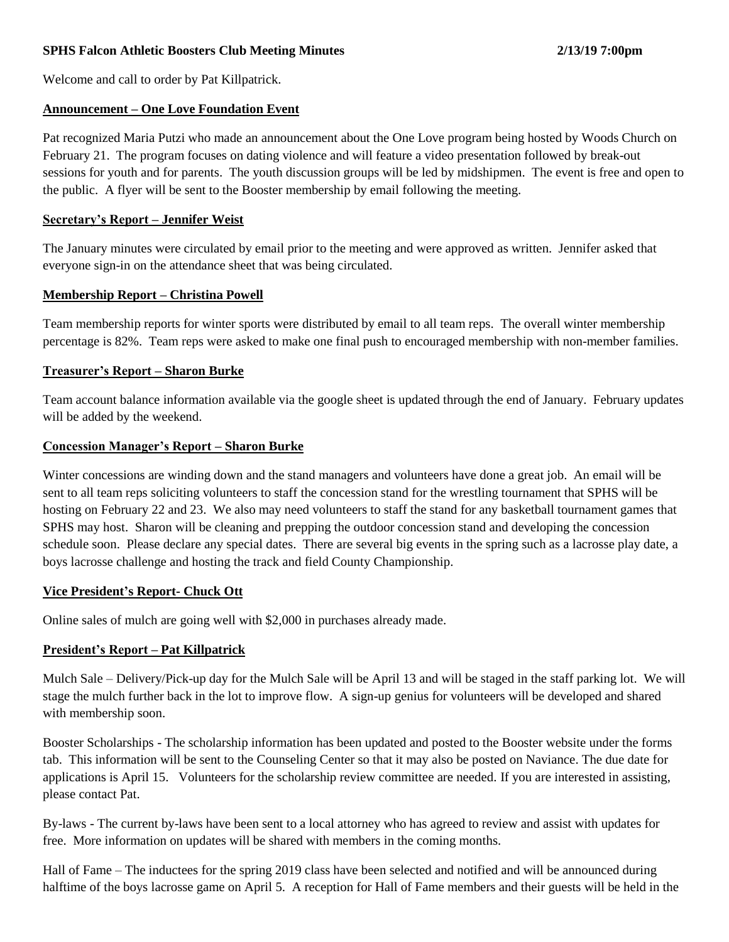## **SPHS Falcon Athletic Boosters Club Meeting Minutes 2/13/19 7:00pm**

Welcome and call to order by Pat Killpatrick.

## **Announcement – One Love Foundation Event**

Pat recognized Maria Putzi who made an announcement about the One Love program being hosted by Woods Church on February 21. The program focuses on dating violence and will feature a video presentation followed by break-out sessions for youth and for parents. The youth discussion groups will be led by midshipmen. The event is free and open to the public. A flyer will be sent to the Booster membership by email following the meeting.

## **Secretary's Report – Jennifer Weist**

The January minutes were circulated by email prior to the meeting and were approved as written. Jennifer asked that everyone sign-in on the attendance sheet that was being circulated.

#### **Membership Report – Christina Powell**

Team membership reports for winter sports were distributed by email to all team reps. The overall winter membership percentage is 82%. Team reps were asked to make one final push to encouraged membership with non-member families.

## **Treasurer's Report – Sharon Burke**

Team account balance information available via the google sheet is updated through the end of January. February updates will be added by the weekend.

#### **Concession Manager's Report – Sharon Burke**

Winter concessions are winding down and the stand managers and volunteers have done a great job. An email will be sent to all team reps soliciting volunteers to staff the concession stand for the wrestling tournament that SPHS will be hosting on February 22 and 23. We also may need volunteers to staff the stand for any basketball tournament games that SPHS may host. Sharon will be cleaning and prepping the outdoor concession stand and developing the concession schedule soon. Please declare any special dates. There are several big events in the spring such as a lacrosse play date, a boys lacrosse challenge and hosting the track and field County Championship.

#### **Vice President's Report- Chuck Ott**

Online sales of mulch are going well with \$2,000 in purchases already made.

## **President's Report – Pat Killpatrick**

Mulch Sale – Delivery/Pick-up day for the Mulch Sale will be April 13 and will be staged in the staff parking lot. We will stage the mulch further back in the lot to improve flow. A sign-up genius for volunteers will be developed and shared with membership soon.

Booster Scholarships - The scholarship information has been updated and posted to the Booster website under the forms tab. This information will be sent to the Counseling Center so that it may also be posted on Naviance. The due date for applications is April 15. Volunteers for the scholarship review committee are needed. If you are interested in assisting, please contact Pat.

By-laws - The current by-laws have been sent to a local attorney who has agreed to review and assist with updates for free. More information on updates will be shared with members in the coming months.

Hall of Fame – The inductees for the spring 2019 class have been selected and notified and will be announced during halftime of the boys lacrosse game on April 5. A reception for Hall of Fame members and their guests will be held in the